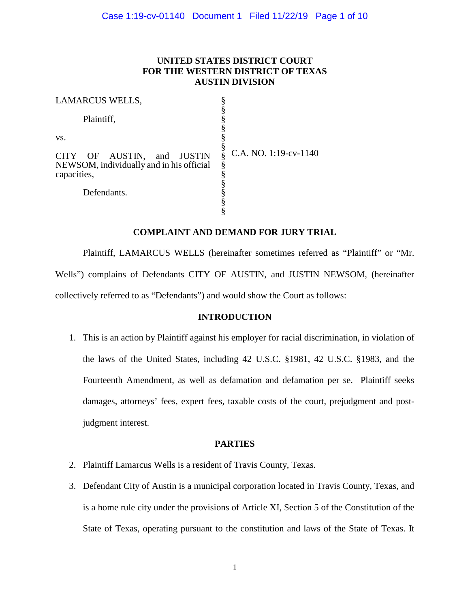# **UNITED STATES DISTRICT COURT FOR THE WESTERN DISTRICT OF TEXAS AUSTIN DIVISION**

| LAMARCUS WELLS,                                                                       |                                 |
|---------------------------------------------------------------------------------------|---------------------------------|
| Plaintiff,                                                                            |                                 |
| VS.                                                                                   |                                 |
| CITY OF AUSTIN, and JUSTIN<br>NEWSOM, individually and in his official<br>capacities, | ş<br>C.A. NO. 1:19-cv-1140<br>§ |
| Defendants.                                                                           |                                 |
|                                                                                       |                                 |

# **COMPLAINT AND DEMAND FOR JURY TRIAL**

Plaintiff, LAMARCUS WELLS (hereinafter sometimes referred as "Plaintiff" or "Mr. Wells") complains of Defendants CITY OF AUSTIN, and JUSTIN NEWSOM, (hereinafter collectively referred to as "Defendants") and would show the Court as follows:

## **INTRODUCTION**

1. This is an action by Plaintiff against his employer for racial discrimination, in violation of the laws of the United States, including 42 U.S.C. §1981, 42 U.S.C. §1983, and the Fourteenth Amendment, as well as defamation and defamation per se. Plaintiff seeks damages, attorneys' fees, expert fees, taxable costs of the court, prejudgment and postjudgment interest.

## **PARTIES**

- 2. Plaintiff Lamarcus Wells is a resident of Travis County, Texas.
- 3. Defendant City of Austin is a municipal corporation located in Travis County, Texas, and is a home rule city under the provisions of Article XI, Section 5 of the Constitution of the State of Texas, operating pursuant to the constitution and laws of the State of Texas. It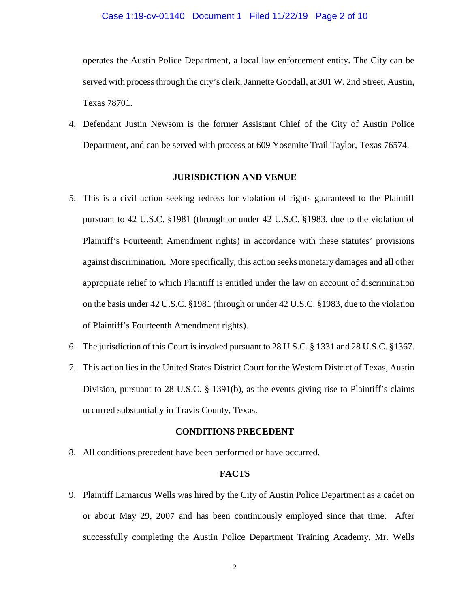#### Case 1:19-cv-01140 Document 1 Filed 11/22/19 Page 2 of 10

operates the Austin Police Department, a local law enforcement entity. The City can be served with process through the city's clerk, Jannette Goodall, at 301 W. 2nd Street, Austin, Texas 78701.

4. Defendant Justin Newsom is the former Assistant Chief of the City of Austin Police Department, and can be served with process at 609 Yosemite Trail Taylor, Texas 76574.

### **JURISDICTION AND VENUE**

- 5. This is a civil action seeking redress for violation of rights guaranteed to the Plaintiff pursuant to 42 U.S.C. §1981 (through or under 42 U.S.C. §1983, due to the violation of Plaintiff's Fourteenth Amendment rights) in accordance with these statutes' provisions against discrimination. More specifically, this action seeks monetary damages and all other appropriate relief to which Plaintiff is entitled under the law on account of discrimination on the basis under 42 U.S.C. §1981 (through or under 42 U.S.C. §1983, due to the violation of Plaintiff's Fourteenth Amendment rights).
- 6. The jurisdiction of this Court is invoked pursuant to 28 U.S.C. § 1331 and 28 U.S.C. §1367.
- 7. This action lies in the United States District Court for the Western District of Texas, Austin Division, pursuant to 28 U.S.C. § 1391(b), as the events giving rise to Plaintiff's claims occurred substantially in Travis County, Texas.

### **CONDITIONS PRECEDENT**

8. All conditions precedent have been performed or have occurred.

### **FACTS**

9. Plaintiff Lamarcus Wells was hired by the City of Austin Police Department as a cadet on or about May 29, 2007 and has been continuously employed since that time. After successfully completing the Austin Police Department Training Academy, Mr. Wells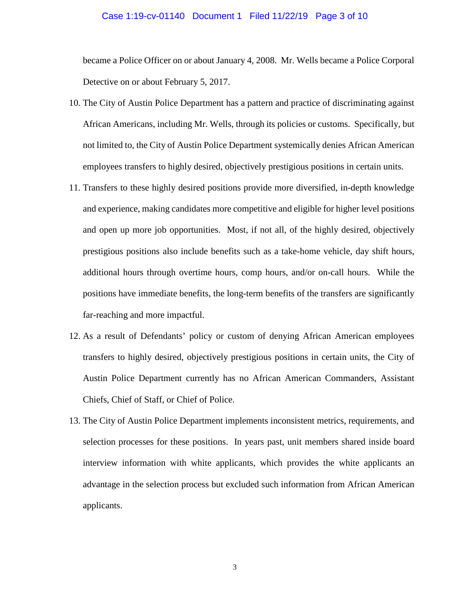#### Case 1:19-cv-01140 Document 1 Filed 11/22/19 Page 3 of 10

became a Police Officer on or about January 4, 2008. Mr. Wells became a Police Corporal Detective on or about February 5, 2017.

- 10. The City of Austin Police Department has a pattern and practice of discriminating against African Americans, including Mr. Wells, through its policies or customs. Specifically, but not limited to, the City of Austin Police Department systemically denies African American employees transfers to highly desired, objectively prestigious positions in certain units.
- 11. Transfers to these highly desired positions provide more diversified, in-depth knowledge and experience, making candidates more competitive and eligible for higher level positions and open up more job opportunities. Most, if not all, of the highly desired, objectively prestigious positions also include benefits such as a take-home vehicle, day shift hours, additional hours through overtime hours, comp hours, and/or on-call hours. While the positions have immediate benefits, the long-term benefits of the transfers are significantly far-reaching and more impactful.
- 12. As a result of Defendants' policy or custom of denying African American employees transfers to highly desired, objectively prestigious positions in certain units, the City of Austin Police Department currently has no African American Commanders, Assistant Chiefs, Chief of Staff, or Chief of Police.
- 13. The City of Austin Police Department implements inconsistent metrics, requirements, and selection processes for these positions. In years past, unit members shared inside board interview information with white applicants, which provides the white applicants an advantage in the selection process but excluded such information from African American applicants.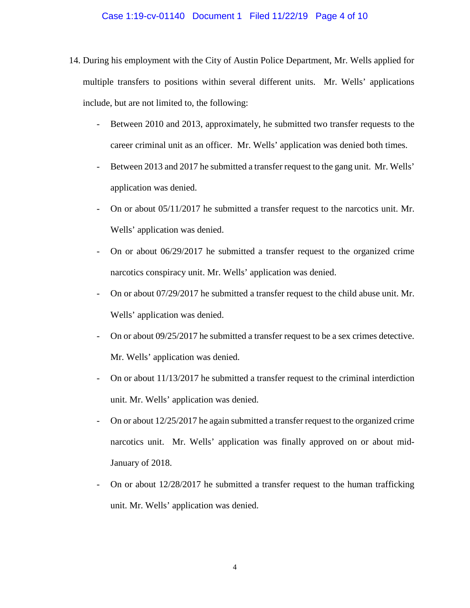#### Case 1:19-cv-01140 Document 1 Filed 11/22/19 Page 4 of 10

- 14. During his employment with the City of Austin Police Department, Mr. Wells applied for multiple transfers to positions within several different units. Mr. Wells' applications include, but are not limited to, the following:
	- Between 2010 and 2013, approximately, he submitted two transfer requests to the career criminal unit as an officer. Mr. Wells' application was denied both times.
	- Between 2013 and 2017 he submitted a transfer request to the gang unit. Mr. Wells' application was denied.
	- On or about 05/11/2017 he submitted a transfer request to the narcotics unit. Mr. Wells' application was denied.
	- On or about 06/29/2017 he submitted a transfer request to the organized crime narcotics conspiracy unit. Mr. Wells' application was denied.
	- On or about 07/29/2017 he submitted a transfer request to the child abuse unit. Mr. Wells' application was denied.
	- On or about 09/25/2017 he submitted a transfer request to be a sex crimes detective. Mr. Wells' application was denied.
	- On or about 11/13/2017 he submitted a transfer request to the criminal interdiction unit. Mr. Wells' application was denied.
	- On or about  $12/25/2017$  he again submitted a transfer request to the organized crime narcotics unit. Mr. Wells' application was finally approved on or about mid-January of 2018.
	- On or about  $12/28/2017$  he submitted a transfer request to the human trafficking unit. Mr. Wells' application was denied.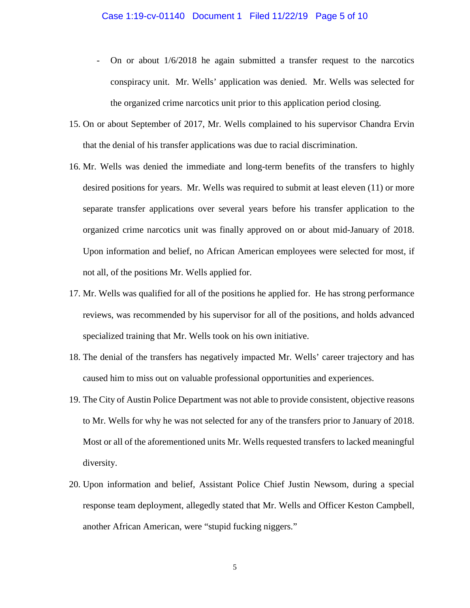- On or about 1/6/2018 he again submitted a transfer request to the narcotics conspiracy unit. Mr. Wells' application was denied. Mr. Wells was selected for the organized crime narcotics unit prior to this application period closing.
- 15. On or about September of 2017, Mr. Wells complained to his supervisor Chandra Ervin that the denial of his transfer applications was due to racial discrimination.
- 16. Mr. Wells was denied the immediate and long-term benefits of the transfers to highly desired positions for years. Mr. Wells was required to submit at least eleven (11) or more separate transfer applications over several years before his transfer application to the organized crime narcotics unit was finally approved on or about mid-January of 2018. Upon information and belief, no African American employees were selected for most, if not all, of the positions Mr. Wells applied for.
- 17. Mr. Wells was qualified for all of the positions he applied for. He has strong performance reviews, was recommended by his supervisor for all of the positions, and holds advanced specialized training that Mr. Wells took on his own initiative.
- 18. The denial of the transfers has negatively impacted Mr. Wells' career trajectory and has caused him to miss out on valuable professional opportunities and experiences.
- 19. The City of Austin Police Department was not able to provide consistent, objective reasons to Mr. Wells for why he was not selected for any of the transfers prior to January of 2018. Most or all of the aforementioned units Mr. Wells requested transfers to lacked meaningful diversity.
- 20. Upon information and belief, Assistant Police Chief Justin Newsom, during a special response team deployment, allegedly stated that Mr. Wells and Officer Keston Campbell, another African American, were "stupid fucking niggers."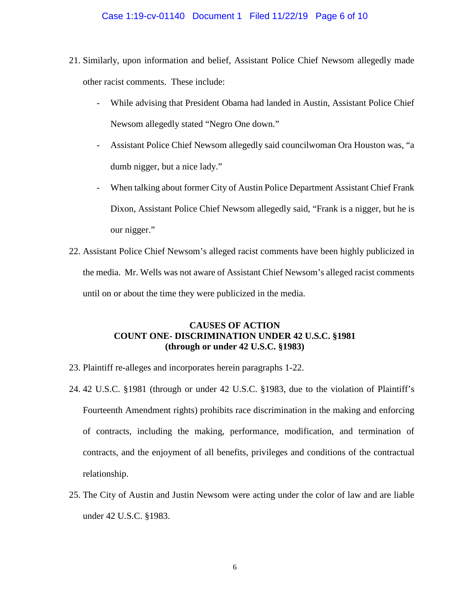### Case 1:19-cv-01140 Document 1 Filed 11/22/19 Page 6 of 10

- 21. Similarly, upon information and belief, Assistant Police Chief Newsom allegedly made other racist comments. These include:
	- While advising that President Obama had landed in Austin, Assistant Police Chief Newsom allegedly stated "Negro One down."
	- Assistant Police Chief Newsom allegedly said councilwoman Ora Houston was, "a dumb nigger, but a nice lady."
	- When talking about former City of Austin Police Department Assistant Chief Frank Dixon, Assistant Police Chief Newsom allegedly said, "Frank is a nigger, but he is our nigger."
- 22. Assistant Police Chief Newsom's alleged racist comments have been highly publicized in the media. Mr. Wells was not aware of Assistant Chief Newsom's alleged racist comments until on or about the time they were publicized in the media.

# **CAUSES OF ACTION COUNT ONE- DISCRIMINATION UNDER 42 U.S.C. §1981 (through or under 42 U.S.C. §1983)**

- 23. Plaintiff re-alleges and incorporates herein paragraphs 1-22.
- 24. 42 U.S.C. §1981 (through or under 42 U.S.C. §1983, due to the violation of Plaintiff's Fourteenth Amendment rights) prohibits race discrimination in the making and enforcing of contracts, including the making, performance, modification, and termination of contracts, and the enjoyment of all benefits, privileges and conditions of the contractual relationship.
- 25. The City of Austin and Justin Newsom were acting under the color of law and are liable under 42 U.S.C. §1983.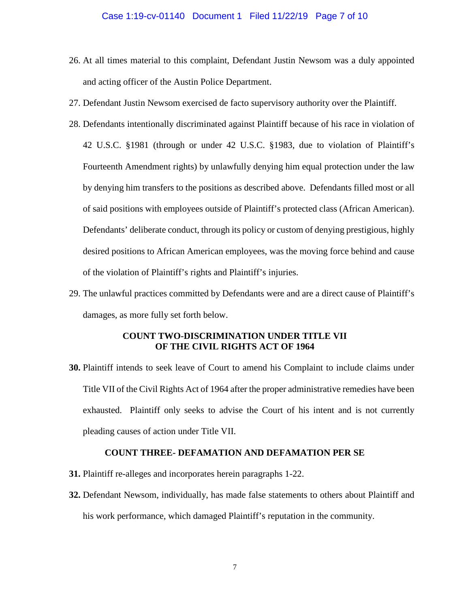#### Case 1:19-cv-01140 Document 1 Filed 11/22/19 Page 7 of 10

- 26. At all times material to this complaint, Defendant Justin Newsom was a duly appointed and acting officer of the Austin Police Department.
- 27. Defendant Justin Newsom exercised de facto supervisory authority over the Plaintiff.
- 28. Defendants intentionally discriminated against Plaintiff because of his race in violation of 42 U.S.C. §1981 (through or under 42 U.S.C. §1983, due to violation of Plaintiff's Fourteenth Amendment rights) by unlawfully denying him equal protection under the law by denying him transfers to the positions as described above. Defendants filled most or all of said positions with employees outside of Plaintiff's protected class (African American). Defendants' deliberate conduct, through its policy or custom of denying prestigious, highly desired positions to African American employees, was the moving force behind and cause of the violation of Plaintiff's rights and Plaintiff's injuries.
- 29. The unlawful practices committed by Defendants were and are a direct cause of Plaintiff's damages, as more fully set forth below.

## **COUNT TWO-DISCRIMINATION UNDER TITLE VII OF THE CIVIL RIGHTS ACT OF 1964**

**30.** Plaintiff intends to seek leave of Court to amend his Complaint to include claims under Title VII of the Civil Rights Act of 1964 after the proper administrative remedies have been exhausted. Plaintiff only seeks to advise the Court of his intent and is not currently pleading causes of action under Title VII.

### **COUNT THREE- DEFAMATION AND DEFAMATION PER SE**

- **31.** Plaintiff re-alleges and incorporates herein paragraphs 1-22.
- **32.** Defendant Newsom, individually, has made false statements to others about Plaintiff and his work performance, which damaged Plaintiff's reputation in the community.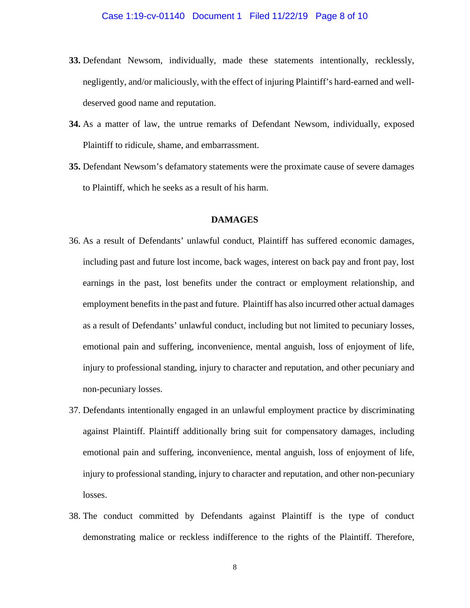- **33.** Defendant Newsom, individually, made these statements intentionally, recklessly, negligently, and/or maliciously, with the effect of injuring Plaintiff's hard-earned and welldeserved good name and reputation.
- **34.** As a matter of law, the untrue remarks of Defendant Newsom, individually, exposed Plaintiff to ridicule, shame, and embarrassment.
- **35.** Defendant Newsom's defamatory statements were the proximate cause of severe damages to Plaintiff, which he seeks as a result of his harm.

### **DAMAGES**

- 36. As a result of Defendants' unlawful conduct, Plaintiff has suffered economic damages, including past and future lost income, back wages, interest on back pay and front pay, lost earnings in the past, lost benefits under the contract or employment relationship, and employment benefits in the past and future. Plaintiff has also incurred other actual damages as a result of Defendants' unlawful conduct, including but not limited to pecuniary losses, emotional pain and suffering, inconvenience, mental anguish, loss of enjoyment of life, injury to professional standing, injury to character and reputation, and other pecuniary and non-pecuniary losses.
- 37. Defendants intentionally engaged in an unlawful employment practice by discriminating against Plaintiff. Plaintiff additionally bring suit for compensatory damages, including emotional pain and suffering, inconvenience, mental anguish, loss of enjoyment of life, injury to professional standing, injury to character and reputation, and other non-pecuniary losses.
- 38. The conduct committed by Defendants against Plaintiff is the type of conduct demonstrating malice or reckless indifference to the rights of the Plaintiff. Therefore,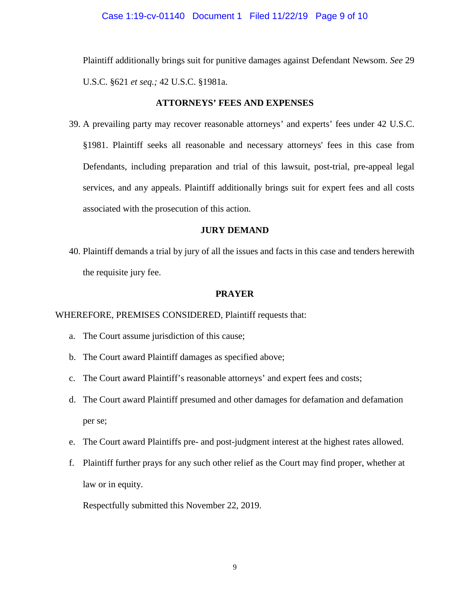Plaintiff additionally brings suit for punitive damages against Defendant Newsom. *See* 29 U.S.C. §621 *et seq.;* 42 U.S.C. §1981a.

### **ATTORNEYS' FEES AND EXPENSES**

39. A prevailing party may recover reasonable attorneys' and experts' fees under 42 U.S.C. §1981. Plaintiff seeks all reasonable and necessary attorneys' fees in this case from Defendants, including preparation and trial of this lawsuit, post-trial, pre-appeal legal services, and any appeals. Plaintiff additionally brings suit for expert fees and all costs associated with the prosecution of this action.

## **JURY DEMAND**

40. Plaintiff demands a trial by jury of all the issues and facts in this case and tenders herewith the requisite jury fee.

## **PRAYER**

## WHEREFORE, PREMISES CONSIDERED, Plaintiff requests that:

- a. The Court assume jurisdiction of this cause;
- b. The Court award Plaintiff damages as specified above;
- c. The Court award Plaintiff's reasonable attorneys' and expert fees and costs;
- d. The Court award Plaintiff presumed and other damages for defamation and defamation per se;
- e. The Court award Plaintiffs pre- and post-judgment interest at the highest rates allowed.
- f. Plaintiff further prays for any such other relief as the Court may find proper, whether at law or in equity.

Respectfully submitted this November 22, 2019.